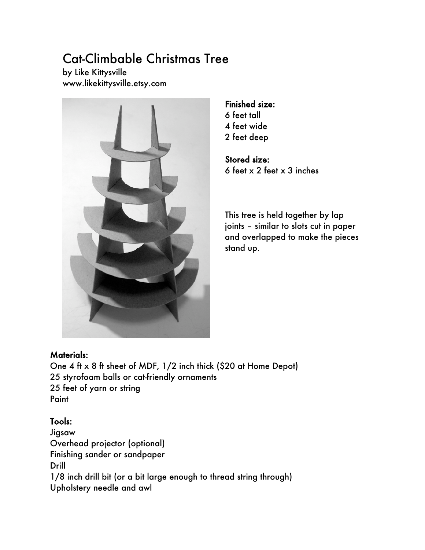# Cat-Climbable Christmas Tree

by Like Kittysville www.likekittysville.etsy.com



Finished size: 6 feet tall 4 feet wide 2 feet deep

Stored size: 6 feet x 2 feet x 3 inches

This tree is held together by lap joints – similar to slots cut in paper and overlapped to make the pieces stand up.

### Materials:

One 4 ft x 8 ft sheet of MDF, 1/2 inch thick (\$20 at Home Depot) 25 styrofoam balls or cat-friendly ornaments 25 feet of yarn or string **Paint** 

## Tools:

Jigsaw Overhead projector (optional) Finishing sander or sandpaper Drill 1/8 inch drill bit (or a bit large enough to thread string through) Upholstery needle and awl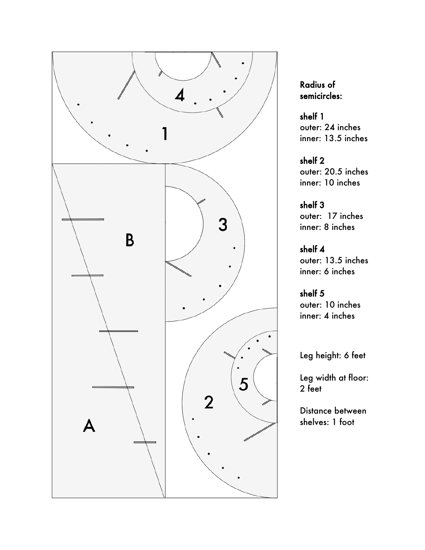

# Radius of semicircles:

shelf 1 outer: 24 inches inner: 13.5 inches

shelf 2 outer: 20.5 inches inner: 10 inches

shelf 3 outer: 17 inches inner: 8 inches

shelf 4 outer: 13.5 inches inner: 6 inches

shelf 5 outer: 10 inches inner: 4 inches

Leg height: 6 feet

Leg width at floor: 2 feet

Distance between shelves: 1 foot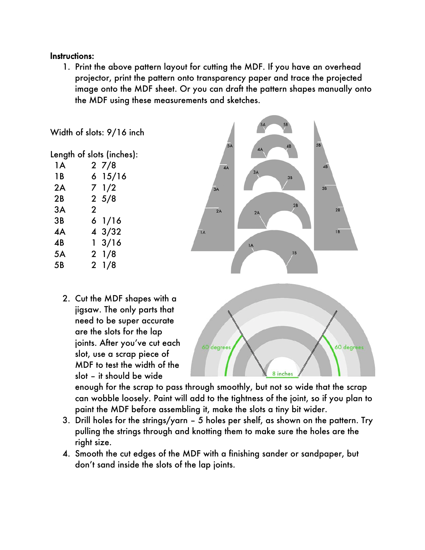### Instructions:

1. Print the above pattern layout for cutting the MDF. If you have an overhead projector, print the pattern onto transparency paper and trace the projected image onto the MDF sheet. Or you can draft the pattern shapes manually onto the MDF using these measurements and sketches.



enough for the scrap to pass through smoothly, but not so wide that the scrap can wobble loosely. Paint will add to the tightness of the joint, so if you plan to paint the MDF before assembling it, make the slots a tiny bit wider.

- 3. Drill holes for the strings/yarn 5 holes per shelf, as shown on the pattern. Try pulling the strings through and knotting them to make sure the holes are the right size.
- 4. Smooth the cut edges of the MDF with a finishing sander or sandpaper, but don't sand inside the slots of the lap joints.